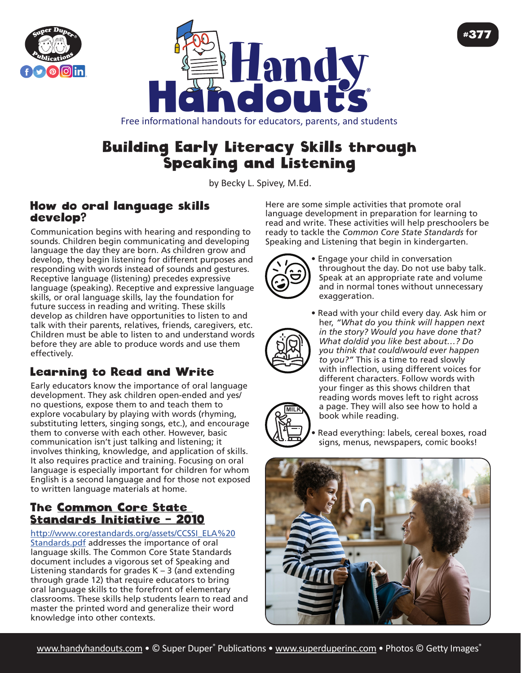



#### Free informational handouts for educators, parents, and students

# Building Early Literacy Skills through Speaking and Listening

by Becky L. Spivey, [M.Ed](http://M.Ed).

#### How do oral language skills develop?

Communication begins with hearing and responding to sounds. Children begin communicating and developing language the day they are born. As children grow and develop, they begin listening for different purposes and responding with words instead of sounds and gestures. Receptive language (listening) precedes expressive language (speaking). Receptive and expressive language skills, or oral language skills, lay the foundation for future success in reading and writing. These skills develop as children have opportunities to listen to and talk with their parents, relatives, friends, caregivers, etc. Children must be able to listen to and understand words before they are able to produce words and use them effectively.

## Learning to Read and Write

Early educators know the importance of oral language development. They ask children open-ended and yes/ no questions, expose them to and teach them to explore vocabulary by playing with words (rhyming, substituting letters, singing songs, etc.), and encourage them to converse with each other. However, basic communication isn't just talking and listening; it involves thinking, knowledge, and application of skills. It also requires practice and training. Focusing on oral language is especially important for children for whom English is a second language and for those not exposed to written language materials at home.

### The Common Core State Standards Initiative – 2010

[http://www.corestandards.org/assets/CCSSI\\_ELA%20](http://www.corestandards.org/assets/CCSSI_ELA%20Standards.pdf) [Standards.pdf](http://www.corestandards.org/assets/CCSSI_ELA%20Standards.pdf) addresses the importance of oral language skills. The Common Core State Standards document includes a vigorous set of Speaking and Listening standards for grades  $K - 3$  (and extending through grade 12) that require educators to bring oral language skills to the forefront of elementary classrooms. These skills help students learn to read and master the printed word and generalize their word knowledge into other contexts.

Here are some simple activities that promote oral language development in preparation for learning to read and write. These activities will help preschoolers be ready to tackle the *Common Core State Standards* for Speaking and Listening that begin in kindergarten.



• Engage your child in conversation throughout the day. Do not use baby talk. Speak at an appropriate rate and volume and in normal tones without unnecessary exaggeration.

#377

**MILK**

• Read with your child every day. Ask him or her, *"What do you think will happen next in the story? Would you have done that? What do/did you like best about…? Do you think that could/would ever happen to you?"* This is a time to read slowly with inflection, using different voices for different characters. Follow words with your finger as this shows children that reading words moves left to right across a page. They will also see how to hold a book while reading.

Read everything: labels, cereal boxes, road signs, menus, newspapers, comic books!